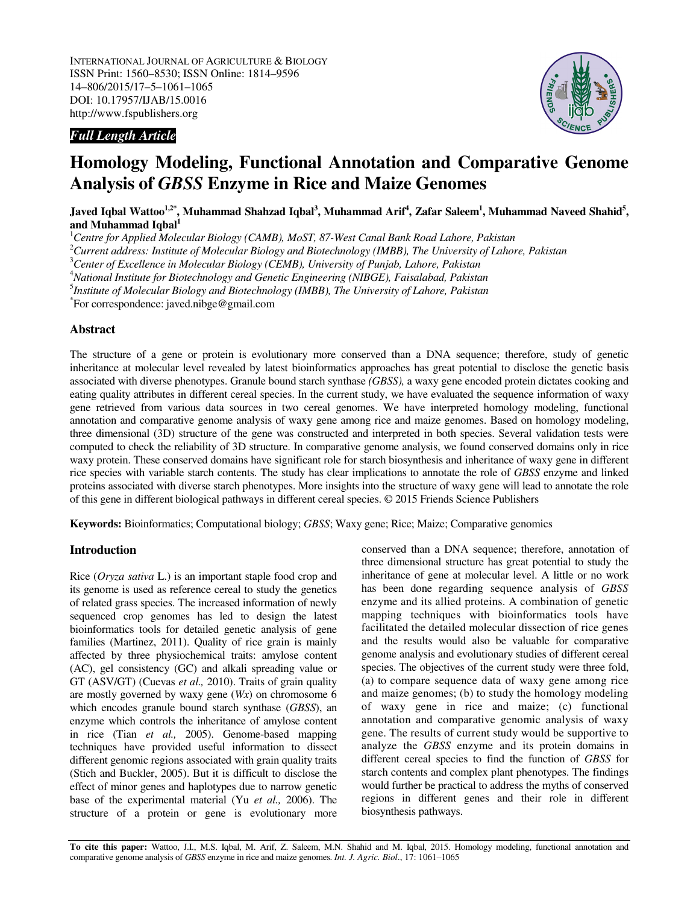

# *Full Length Article*

# **Homology Modeling, Functional Annotation and Comparative Genome Analysis of** *GBSS* **Enzyme in Rice and Maize Genomes**

**Javed Iqbal Wattoo1,2\*, Muhammad Shahzad Iqbal<sup>3</sup> , Muhammad Arif<sup>4</sup> , Zafar Saleem<sup>1</sup> , Muhammad Naveed Shahid<sup>5</sup> , and Muhammad Iqbal<sup>1</sup>**

<sup>1</sup>*Centre for Applied Molecular Biology (CAMB), MoST, 87-West Canal Bank Road Lahore, Pakistan* 

<sup>2</sup>*Current address: Institute of Molecular Biology and Biotechnology (IMBB), The University of Lahore, Pakistan* 

<sup>3</sup>*Center of Excellence in Molecular Biology (CEMB), University of Punjab, Lahore, Pakistan* 

<sup>4</sup>*National Institute for Biotechnology and Genetic Engineering (NIBGE), Faisalabad, Pakistan* 

5 *Institute of Molecular Biology and Biotechnology (IMBB), The University of Lahore, Pakistan* 

\* For correspondence: javed.nibge@gmail.com

## **Abstract**

The structure of a gene or protein is evolutionary more conserved than a DNA sequence; therefore, study of genetic inheritance at molecular level revealed by latest bioinformatics approaches has great potential to disclose the genetic basis associated with diverse phenotypes. Granule bound starch synthase *(GBSS),* a waxy gene encoded protein dictates cooking and eating quality attributes in different cereal species. In the current study, we have evaluated the sequence information of waxy gene retrieved from various data sources in two cereal genomes. We have interpreted homology modeling, functional annotation and comparative genome analysis of waxy gene among rice and maize genomes. Based on homology modeling, three dimensional (3D) structure of the gene was constructed and interpreted in both species. Several validation tests were computed to check the reliability of 3D structure. In comparative genome analysis, we found conserved domains only in rice waxy protein. These conserved domains have significant role for starch biosynthesis and inheritance of waxy gene in different rice species with variable starch contents. The study has clear implications to annotate the role of *GBSS* enzyme and linked proteins associated with diverse starch phenotypes. More insights into the structure of waxy gene will lead to annotate the role of this gene in different biological pathways in different cereal species. © 2015 Friends Science Publishers

**Keywords:** Bioinformatics; Computational biology; *GBSS*; Waxy gene; Rice; Maize; Comparative genomics

## **Introduction**

Rice (*Oryza sativa* L.) is an important staple food crop and its genome is used as reference cereal to study the genetics of related grass species. The increased information of newly sequenced crop genomes has led to design the latest bioinformatics tools for detailed genetic analysis of gene families (Martinez, 2011). Quality of rice grain is mainly affected by three physiochemical traits: amylose content (AC), gel consistency (GC) and alkali spreading value or GT (ASV/GT) (Cuevas *et al.,* 2010). Traits of grain quality are mostly governed by waxy gene (*Wx*) on chromosome 6 which encodes granule bound starch synthase (*GBSS*), an enzyme which controls the inheritance of amylose content in rice (Tian *et al.,* 2005). Genome-based mapping techniques have provided useful information to dissect different genomic regions associated with grain quality traits (Stich and Buckler, 2005). But it is difficult to disclose the effect of minor genes and haplotypes due to narrow genetic base of the experimental material (Yu *et al.,* 2006). The structure of a protein or gene is evolutionary more conserved than a DNA sequence; therefore, annotation of three dimensional structure has great potential to study the inheritance of gene at molecular level. A little or no work has been done regarding sequence analysis of *GBSS* enzyme and its allied proteins. A combination of genetic mapping techniques with bioinformatics tools have facilitated the detailed molecular dissection of rice genes and the results would also be valuable for comparative genome analysis and evolutionary studies of different cereal species. The objectives of the current study were three fold, (a) to compare sequence data of waxy gene among rice and maize genomes; (b) to study the homology modeling of waxy gene in rice and maize; (c) functional annotation and comparative genomic analysis of waxy gene. The results of current study would be supportive to analyze the *GBSS* enzyme and its protein domains in different cereal species to find the function of *GBSS* for starch contents and complex plant phenotypes. The findings would further be practical to address the myths of conserved regions in different genes and their role in different biosynthesis pathways.

**To cite this paper:** Wattoo, J.I., M.S. Iqbal, M. Arif, Z. Saleem, M.N. Shahid and M. Iqbal, 2015. Homology modeling, functional annotation and comparative genome analysis of *GBSS* enzyme in rice and maize genomes. *Int. J. Agric. Biol.*, 17: 1061–1065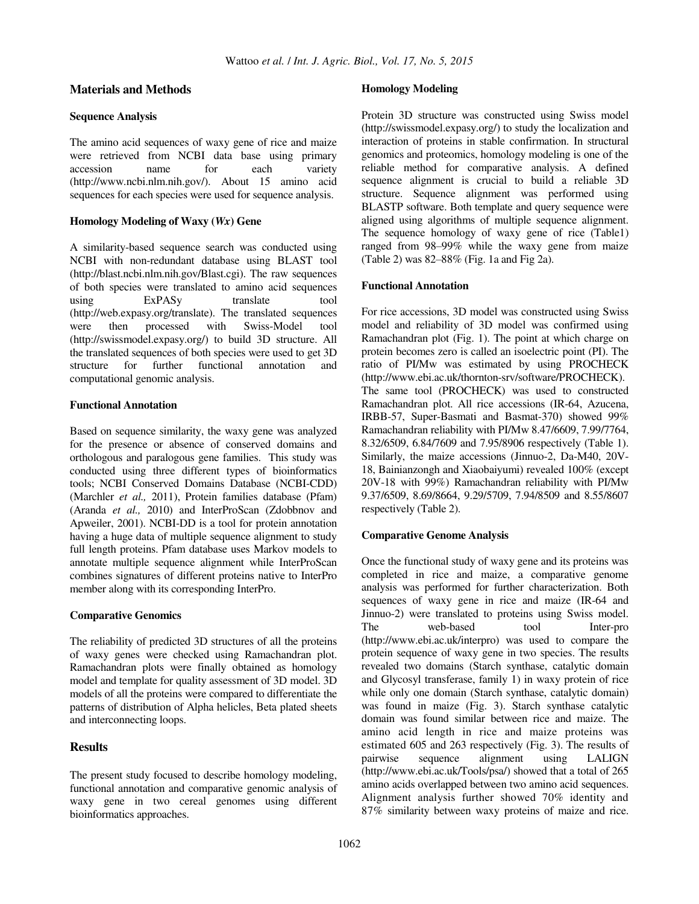## **Materials and Methods**

#### **Sequence Analysis**

The amino acid sequences of waxy gene of rice and maize were retrieved from NCBI data base using primary accession name for each variety (http://www.ncbi.nlm.nih.gov/). About 15 amino acid sequences for each species were used for sequence analysis.

#### **Homology Modeling of Waxy (***Wx***) Gene**

A similarity-based sequence search was conducted using NCBI with non-redundant database using BLAST tool (http://blast.ncbi.nlm.nih.gov/Blast.cgi). The raw sequences of both species were translated to amino acid sequences using ExPASy translate tool (http://web.expasy.org/translate). The translated sequences were then processed with Swiss-Model tool (http://swissmodel.expasy.org/) to build 3D structure. All the translated sequences of both species were used to get 3D structure for further functional annotation and computational genomic analysis.

#### **Functional Annotation**

Based on sequence similarity, the waxy gene was analyzed for the presence or absence of conserved domains and orthologous and paralogous gene families. This study was conducted using three different types of bioinformatics tools; NCBI Conserved Domains Database (NCBI-CDD) (Marchler *et al.,* 2011), Protein families database (Pfam) (Aranda *et al.,* 2010) and InterProScan (Zdobbnov and Apweiler, 2001). NCBI-DD is a tool for protein annotation having a huge data of multiple sequence alignment to study full length proteins. Pfam database uses Markov models to annotate multiple sequence alignment while InterProScan combines signatures of different proteins native to InterPro member along with its corresponding InterPro.

#### **Comparative Genomics**

The reliability of predicted 3D structures of all the proteins of waxy genes were checked using Ramachandran plot. Ramachandran plots were finally obtained as homology model and template for quality assessment of 3D model. 3D models of all the proteins were compared to differentiate the patterns of distribution of Alpha helicles, Beta plated sheets and interconnecting loops.

## **Results**

The present study focused to describe homology modeling, functional annotation and comparative genomic analysis of waxy gene in two cereal genomes using different bioinformatics approaches.

## **Homology Modeling**

Protein 3D structure was constructed using Swiss model (http://swissmodel.expasy.org/) to study the localization and interaction of proteins in stable confirmation. In structural genomics and proteomics, homology modeling is one of the reliable method for comparative analysis. A defined sequence alignment is crucial to build a reliable 3D structure. Sequence alignment was performed using BLASTP software. Both template and query sequence were aligned using algorithms of multiple sequence alignment. The sequence homology of waxy gene of rice (Table1) ranged from 98–99% while the waxy gene from maize (Table 2) was  $82-88\%$  (Fig. 1a and Fig 2a).

#### **Functional Annotation**

For rice accessions, 3D model was constructed using Swiss model and reliability of 3D model was confirmed using Ramachandran plot (Fig. 1). The point at which charge on protein becomes zero is called an isoelectric point (PI). The ratio of PI/Mw was estimated by using PROCHECK (http://www.ebi.ac.uk/thornton-srv/software/PROCHECK). The same tool (PROCHECK) was used to constructed Ramachandran plot. All rice accessions (IR-64, Azucena, IRBB-57, Super-Basmati and Basmat-370) showed 99% Ramachandran reliability with PI/Mw 8.47/6609, 7.99/7764, 8.32/6509, 6.84/7609 and 7.95/8906 respectively (Table 1). Similarly, the maize accessions (Jinnuo-2, Da-M40, 20V-18, Bainianzongh and Xiaobaiyumi) revealed 100% (except 20V-18 with 99%) Ramachandran reliability with PI/Mw 9.37/6509, 8.69/8664, 9.29/5709, 7.94/8509 and 8.55/8607 respectively (Table 2).

#### **Comparative Genome Analysis**

Once the functional study of waxy gene and its proteins was completed in rice and maize, a comparative genome analysis was performed for further characterization. Both sequences of waxy gene in rice and maize (IR-64 and Jinnuo-2) were translated to proteins using Swiss model. The web-based tool Inter-pro (http://www.ebi.ac.uk/interpro) was used to compare the protein sequence of waxy gene in two species. The results revealed two domains (Starch synthase, catalytic domain and Glycosyl transferase, family 1) in waxy protein of rice while only one domain (Starch synthase, catalytic domain) was found in maize (Fig. 3). Starch synthase catalytic domain was found similar between rice and maize. The amino acid length in rice and maize proteins was estimated 605 and 263 respectively (Fig. 3). The results of pairwise sequence alignment using LALIGN (http://www.ebi.ac.uk/Tools/psa/) showed that a total of 265 amino acids overlapped between two amino acid sequences. Alignment analysis further showed 70% identity and 87% similarity between waxy proteins of maize and rice.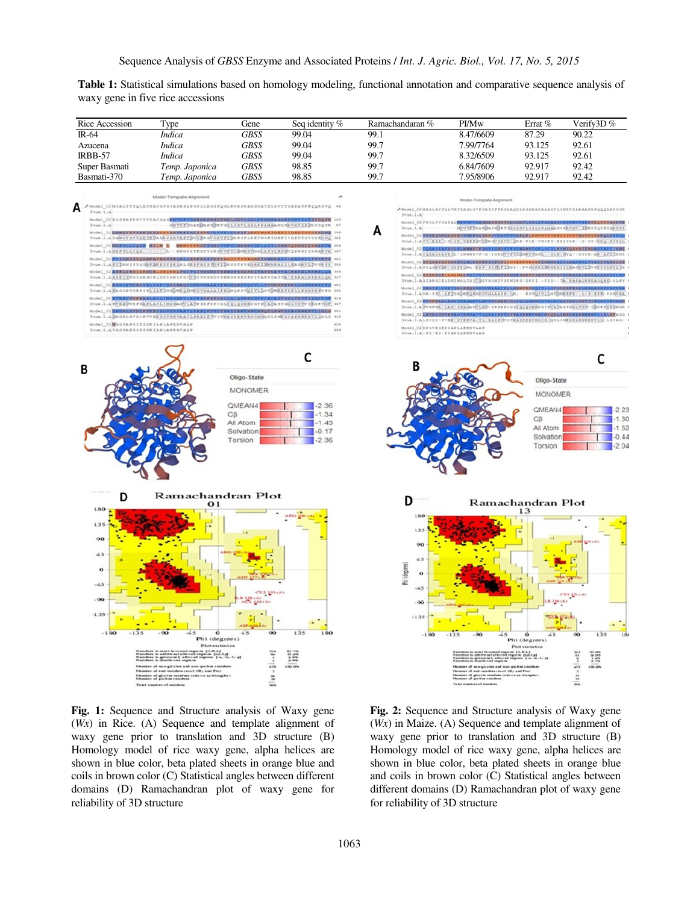**Table 1:** Statistical simulations based on homology modeling, functional annotation and comparative sequence analysis of waxy gene in five rice accessions

| Rice Accession     | Type                                                                                                                                                                 | Gene                                                                     | Seq identity %                                      | Ramachandaran %                                               | PI/Mw                                                                                                                                                                                                                                                                                                                          | Errat %                                                                  | Verify3D%                                           |  |  |  |
|--------------------|----------------------------------------------------------------------------------------------------------------------------------------------------------------------|--------------------------------------------------------------------------|-----------------------------------------------------|---------------------------------------------------------------|--------------------------------------------------------------------------------------------------------------------------------------------------------------------------------------------------------------------------------------------------------------------------------------------------------------------------------|--------------------------------------------------------------------------|-----------------------------------------------------|--|--|--|
| IR-64              | Indica                                                                                                                                                               | <b>GBSS</b>                                                              | 99.04                                               | 99.1                                                          | 8.47/6609                                                                                                                                                                                                                                                                                                                      | 87.29                                                                    | 90.22                                               |  |  |  |
| Azucena            | <i>Indica</i>                                                                                                                                                        | <b>GBSS</b>                                                              | 99.04                                               | 99.7                                                          | 7.99/7764                                                                                                                                                                                                                                                                                                                      | 93.125                                                                   | 92.61                                               |  |  |  |
| IRBB-57            | <b>Indica</b>                                                                                                                                                        | <b>GBSS</b>                                                              | 99.04                                               | 99.7                                                          | 8.32/6509                                                                                                                                                                                                                                                                                                                      | 93.125                                                                   | 92.61                                               |  |  |  |
| Super Basmati      | Temp. Japonica                                                                                                                                                       | <b>GBSS</b>                                                              | 98.85                                               | 99.7                                                          | 6.84/7609                                                                                                                                                                                                                                                                                                                      | 92.917                                                                   | 92.42                                               |  |  |  |
| Basmati-370        | Temp. Japonica                                                                                                                                                       | <b>GBSS</b>                                                              | 98.85                                               | 99.7                                                          | 7.95/8906                                                                                                                                                                                                                                                                                                                      | 92.917                                                                   | 92.42                                               |  |  |  |
|                    | Model-Template Alignment                                                                                                                                             |                                                                          |                                                     |                                                               |                                                                                                                                                                                                                                                                                                                                |                                                                          |                                                     |  |  |  |
| $3\nu u$ e.i.A     | AModel_OZMSALTTSQLATSATOFGIADRSAPSSLLRROFQGLKPRSPAGGDATSLSVTTSARATPKQQRSVQ 48                                                                                        |                                                                          |                                                     |                                                               | Model-Template Alignment<br>/Model_02MAALATSOLVATRAGLGVFDASTFRRGAAQGLRGARASAAADTLSMRTSARAAFRRQQQARRGGR                                                                                                                                                                                                                         |                                                                          |                                                     |  |  |  |
|                    | Model_02 ROSKRFPSVVVYATOAG <b>HNVVFVGAEHAFWSKTGGLGDVLGGLFPAMAANGHRVMVISFRYDQYK</b> 100                                                                               |                                                                          |                                                     | $3\nu u$ e.l.A                                                |                                                                                                                                                                                                                                                                                                                                |                                                                          |                                                     |  |  |  |
| Jvae.1.A           | Model_02 DAWDTSVVARIKVADRYKKVAFFKCYKROVDRVFIDHPSFLKKVWOKTOKKIYOFDTGVDYKDNQ 196                                                                                       |                                                                          | NHYVETGAERAPHEKTGSLODVLOOLPPAHAMONAVHVIIPRYDQYK \$? | $2\nu u$ e.1.A                                                | Model_02 FFSLVVCASA0 KNVVFVOARHAFMSKTGGLGDVLGGLFFAHAANG)(RVHVVSFRYDQYKDAMDTS<br>MHYVESOARBAPMSKTODLODVLOOLPPAMAANOMAVMY EPAYDQYKDAMDTS<br>Model_02 WYRRIENHODOYRTVRFFNQYKROVDRVFVDHPLFLERVWOKTEEKIYOPVAOTDYRDNQLRFSLE<br>3vue, 1, A VV · EIK > D · YE · VREEBOXER OVDRYF : DHP · FLE · VHORT · EKIYOP · ' O · DY · DNQ · RFSLL |                                                                          |                                                     |  |  |  |
|                    | JVae.1.ADAMDTSVVAKIKSADAVERVAFEBONKORVDAVFIDHPSFLEKVWGKTGEKIYGPDTGVDYKDNQ.122                                                                                        |                                                                          |                                                     |                                                               |                                                                                                                                                                                                                                                                                                                                |                                                                          |                                                     |  |  |  |
| 3vue.1.AMRFSLLCQAA | Model_02 HAFSLLCOAP RILM E - HHMPYFKGTYGEDVVFVCHDWHTGPLASYLKMNYGFNGIYRMAKVA 214<br>APRIL HNNPYFKGTYGEDVVFVCBOMNTGPLASYLKNNYQPNGIYANAKVA 107                          |                                                                          |                                                     |                                                               | Model 02 COAALEAPRILS LMNNPYFSOPYOKDVVFVCNDMNTOPLSCYLKSNYQSNGIYRDAKTAFCINNI                                                                                                                                                                                                                                                    |                                                                          |                                                     |  |  |  |
|                    | Model_02 CIMMISYQORFAFADYPALNLSERFRSSFDFIDOYDTPVKORKINMMKAOILEADRVLTVSPYY >>><br>3Voe, S.A.F.C.DHNISYQONFAPEDVPELASLIERFRSSPOFIDOVDTPVKORKIDMHKAOILKADDVL.DVSDVY-882 |                                                                          |                                                     |                                                               | 3vue, 1, ACQAALEAPRIL: LNNNPYF: 0: YOEDVYFYCBONKTOPL: : YLK: NYQ: ::01YA: AK: AFCINNI<br>Model_02 NYQURFAFSDYFKLNLFKRFKSSFDFIDOYKKFVKORKINNOKAUILKADRVLTVSFYYAKKLIN                                                                                                                                                            |                                                                          |                                                     |  |  |  |
|                    | Model 02 ASSETSGIARGCSLDNIMRLTGITGIVNOMBVSEMDFSMDFTFARVDATTAIKKALNMKALGA 114                                                                                         |                                                                          |                                                     |                                                               | 3vue, 1, A 5 Y Q OB FAP   DYPE LN L (ERP   S S P) DYL DOY     PYEORK I SHHKA O I LEA DRYL DV SPYYAKE L US<br>Model 02 DIAROCHLONIMRLTOITOIVHOMOVSEWDFSRDKYIAVKYDVSTAVHAKRLHKEALQAKVOLFV                                                                                                                                        |                                                                          |                                                     |  |  |  |
|                    | 3vue.1.AAKKLIJSGIARGCKLDNIMRLTGIEQIVNGMDVSKWDPSKDKYITAKYDATTAIKALNKKALQA 317<br>Model_02 AGLPVORKIPLIAFIGRLEEQKOPDVHAAAIPELHQEDVQIVLLOTOKKKFEKLLKSHEEKYPG ***        |                                                                          |                                                     |                                                               | JVue, 1, A 01AROCELDNIMRLTOIRDIVNOMDVSEMDPS: DRVI!\AKYD\!TA_EAKALNKEALQAG\0LPV                                                                                                                                                                                                                                                 |                                                                          |                                                     |  |  |  |
|                    | JYUH, I.A EAGLPVDRKIPLIAFIGREE QROPDVHAAAIPKIMQKDVQIVLIOTOKKKPKKLLKSHKKRIVPG HO                                                                                      |                                                                          |                                                     |                                                               | Model 02 DRNIFE-VAPIORLERQKOFDVHAAAIPQLHEHVEDVQIVLLGTGKKKFERHLHSAREKFI<br>3vus.1.ADA:1PL AFPORDER ORDEDVHAAA1F 124; EDVOIVEDOTORKEE 1: 1:8:880 PORVAA                                                                                                                                                                          |                                                                          |                                                     |  |  |  |
|                    | Model_02 KVRAVVXFNAFLANLINAGADVLAVFSRFEFCGLIQLOGHRYGTFCACASTGGLVDTVIEGKTGF \$14<br>JVORILARVRADVRPNAPLANLINAGADVLADPSRPEPCOLEQLNGYOTPCADASTOGLYDTVIBORTOF.447        |                                                                          |                                                     |                                                               | Model 02 WWKFNAALAHNIHAGADVLAVTSRFEFCGLIQLQGMRYGTFCACASTGGLVDTIIEG                                                                                                                                                                                                                                                             |                                                                          |                                                     |  |  |  |
|                    | Model_02 EMORLSVDCKVVEPSDVKKVAATLKRAIKVVOTPAYREMVRNCMNQDLSWKOFAKNWENVLLOLO                                                                                           |                                                                          |                                                     |                                                               | JYUR.1.A YVKFIA : LAN INASADVLAY: SRFEPCOLIQLQOHRYOTPCACASTOGLYDT: IBOKTGFBNOR<br>Model_02 EXVDCHVVKFADVKKVATTLORAIKVVGTFAYKKHVANCHIQDLSWKGFAKNWKNVLLSLGVA00                                                                                                                                                                   |                                                                          |                                                     |  |  |  |
|                    | 3vos.1.AğMORLSVDCKVVEPSDVKKVAATLKRAIKVVOTPAYEEMVRNCMNQDLSNKOPAKNWENVLIOLO 113<br>Model_02 MAGSAPGIEGDEIAPLAKENVAAP                                                   |                                                                          | 408                                                 |                                                               | Jvue. 1.A LSVDC / VVEP · DVKKVA · TL · RAIKYVOTPAYEENVANCH  QDLSMKOPAKNWENVLI/ LGVAG /                                                                                                                                                                                                                                         |                                                                          |                                                     |  |  |  |
|                    | <b>Jyue.1.AVAGSAPGIEGDEIAPLAKENVAAP</b>                                                                                                                              |                                                                          | 5.54                                                | Model_02 EPOVEGEEIAPLAKENVAAP<br>Svue.1.A POIEGIEIAPLAKENVAAP |                                                                                                                                                                                                                                                                                                                                |                                                                          |                                                     |  |  |  |
|                    |                                                                                                                                                                      | <b>MONOMER</b><br>QMEAN4<br>$C\beta$<br>All Atom<br>Solvation<br>Torsion | 2.36<br>$-1.34$<br>$-1.43$<br>$-0.17$               |                                                               |                                                                                                                                                                                                                                                                                                                                | <b>MONOMER</b><br>QMEAN4<br>$C\beta$<br>All Atom<br>Solvation<br>Torsion | $-2.23$<br>$-1.30$<br>$-1.52$<br>$-0.44$<br>$-2.04$ |  |  |  |
| D                  | Ramachandran Plot<br>$^{\rm o}$ 1                                                                                                                                    |                                                                          |                                                     | D                                                             |                                                                                                                                                                                                                                                                                                                                | Ramachandran Plot                                                        |                                                     |  |  |  |
| 180                |                                                                                                                                                                      |                                                                          |                                                     | 180                                                           |                                                                                                                                                                                                                                                                                                                                | 13                                                                       |                                                     |  |  |  |
| 135                |                                                                                                                                                                      |                                                                          |                                                     | 135                                                           |                                                                                                                                                                                                                                                                                                                                |                                                                          |                                                     |  |  |  |
| 90                 |                                                                                                                                                                      |                                                                          |                                                     |                                                               |                                                                                                                                                                                                                                                                                                                                |                                                                          |                                                     |  |  |  |
|                    |                                                                                                                                                                      |                                                                          |                                                     | $^{oa}$                                                       |                                                                                                                                                                                                                                                                                                                                |                                                                          |                                                     |  |  |  |
| 45                 |                                                                                                                                                                      |                                                                          |                                                     | 45                                                            |                                                                                                                                                                                                                                                                                                                                |                                                                          |                                                     |  |  |  |
| $\mathbf{o}$       |                                                                                                                                                                      |                                                                          |                                                     | Psi (degrees)<br>$\circ$                                      |                                                                                                                                                                                                                                                                                                                                |                                                                          |                                                     |  |  |  |
| $-4.5$             |                                                                                                                                                                      |                                                                          |                                                     |                                                               |                                                                                                                                                                                                                                                                                                                                |                                                                          |                                                     |  |  |  |
|                    |                                                                                                                                                                      | 8 333 (A)                                                                |                                                     | $-45$                                                         |                                                                                                                                                                                                                                                                                                                                |                                                                          | evs press                                           |  |  |  |
| $-90$              |                                                                                                                                                                      |                                                                          |                                                     | $-90$                                                         |                                                                                                                                                                                                                                                                                                                                | E 336 (A)                                                                |                                                     |  |  |  |
| $-135$<br>$-1.80$  | $-135$<br>ó<br>Phi (degrees)                                                                                                                                         | 4.5<br>$\infty$                                                          | 135<br>180                                          | $-135$<br>$-1.80$                                             | $-135$                                                                                                                                                                                                                                                                                                                         | <b>SYLWAY</b><br>ó                                                       | 135                                                 |  |  |  |
|                    | <b>Plot</b> atatistics                                                                                                                                               |                                                                          |                                                     |                                                               |                                                                                                                                                                                                                                                                                                                                | Phi (degrees)<br><b>Plot</b> statistics                                  |                                                     |  |  |  |
|                    | $\frac{[A,B,A]}{[AB,A,B]}$                                                                                                                                           |                                                                          |                                                     |                                                               |                                                                                                                                                                                                                                                                                                                                | nom (A.M.L.)<br>Impirem (A.M.L.M.)<br>A regiona (I.M.)                   | 謂                                                   |  |  |  |
|                    | wigh class and non-profine seat<br>dates cenet. Ony and Post<br>and and a                                                                                            | 428                                                                      | 100.09                                              |                                                               | complexion and non-position to                                                                                                                                                                                                                                                                                                 |                                                                          | 433                                                 |  |  |  |
|                    | er of glorine reskfæs (shown as hiangles)<br>er of postne residens                                                                                                   | yt a                                                                     |                                                     |                                                               | <b>Renormal City and Post</b><br>daes of gitarine sex kines cahoon as biang bo<br>tors of profine sextilises                                                                                                                                                                                                                   |                                                                          | ä                                                   |  |  |  |
|                    | shows out sweetsbar                                                                                                                                                  |                                                                          |                                                     |                                                               | <b>Yotel number of resident</b>                                                                                                                                                                                                                                                                                                |                                                                          |                                                     |  |  |  |

Fig. 1: Sequence and Structure analysis of Waxy gene (*Wx*) in Rice. (A) Sequence and template alignment of waxy gene prior to translation and 3D structure (B) Homology model of rice waxy gene, alpha helices are shown in blue color, beta plated sheets in orange blue and coils in brown color (C) Statistical angles between different domains (D) Ramachandran plot of waxy gene for reliability of 3D structure

**Fig. 2:** Sequence and Structure analysis of Waxy gene (*Wx*) in Maize. (A) Sequence and template alignment of waxy gene prior to translation and 3D structure (B) Homology model of rice waxy gene, alpha helices are shown in blue color, beta plated sheets in orange blue and coils in brown color (C) Statistical angles between different domains (D) Ramachandran plot of waxy gene for reliability of 3D structure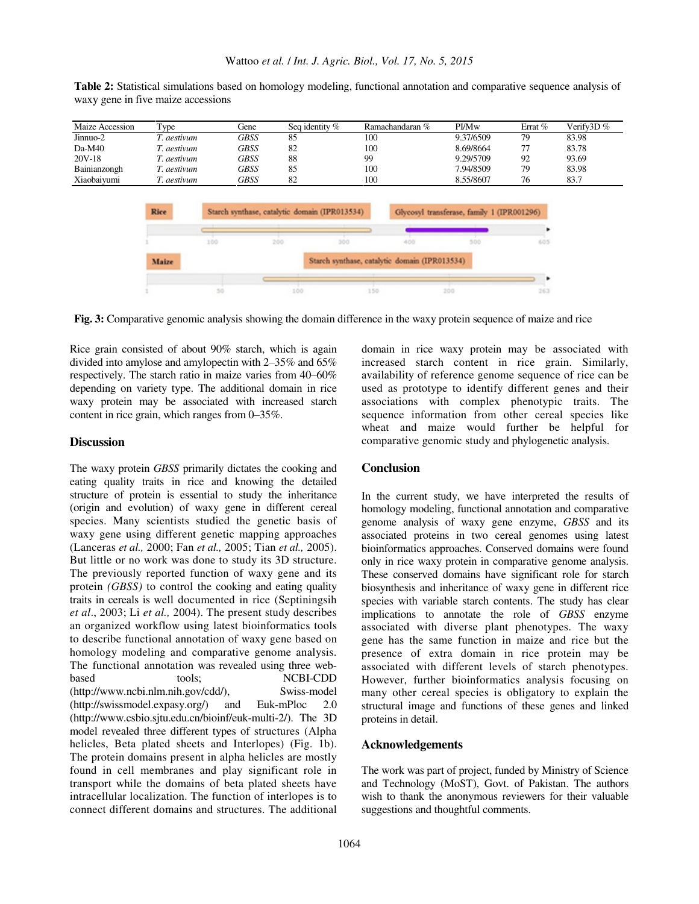| Maize Accession | Type            | Gene | Seq identity % | Ramachandaran % | <b>PI/Mw</b> | Errat % | Verify $3D\%$ |
|-----------------|-----------------|------|----------------|-----------------|--------------|---------|---------------|
| Jinnuo-2        | '. aestivum     | GBSS | 85             | 100             | 9.37/6509    | 79      | 83.98         |
| $Da-M40$        | '. aestivum     | GBSS | 82             | 100             | 8.69/8664    |         | 83.78         |
| 20V-18          | '. aestivum     | GBSS | 88             | 99              | 9.29/5709    | 92      | 93.69         |
| Bainianzongh    | <i>aestivum</i> | GBSS | 85             | 100             | 7.94/8509    | 79      | 83.98         |
| Xiaobaivumi     | aestivum        | GBSS | 82             | 100             | 8.55/8607    | 76      | 83.7          |

**Table 2:** Statistical simulations based on homology modeling, functional annotation and comparative sequence analysis of waxy gene in five maize accessions



**Fig. 3:** Comparative genomic analysis showing the domain difference in the waxy protein sequence of maize and rice

Rice grain consisted of about 90% starch, which is again divided into amylose and amylopectin with 2‒35% and 65% respectively. The starch ratio in maize varies from  $40-60\%$ depending on variety type. The additional domain in rice waxy protein may be associated with increased starch content in rice grain, which ranges from 0–35%.

#### **Discussion**

The waxy protein *GBSS* primarily dictates the cooking and eating quality traits in rice and knowing the detailed structure of protein is essential to study the inheritance (origin and evolution) of waxy gene in different cereal species. Many scientists studied the genetic basis of waxy gene using different genetic mapping approaches (Lanceras *et al.,* 2000; Fan *et al.,* 2005; Tian *et al.,* 2005). But little or no work was done to study its 3D structure. The previously reported function of waxy gene and its protein *(GBSS)* to control the cooking and eating quality traits in cereals is well documented in rice (Septiningsih *et al*., 2003; Li *et al.,* 2004). The present study describes an organized workflow using latest bioinformatics tools to describe functional annotation of waxy gene based on homology modeling and comparative genome analysis. The functional annotation was revealed using three webbased tools: NCBI-CDD (http://www.ncbi.nlm.nih.gov/cdd/), Swiss-model (http://swissmodel.expasy.org/) and Euk-mPloc 2.0 (http://www.csbio.sjtu.edu.cn/bioinf/euk-multi-2/). The 3D model revealed three different types of structures (Alpha helicles, Beta plated sheets and Interlopes) (Fig. 1b). The protein domains present in alpha helicles are mostly found in cell membranes and play significant role in transport while the domains of beta plated sheets have intracellular localization. The function of interlopes is to connect different domains and structures. The additional

domain in rice waxy protein may be associated with increased starch content in rice grain. Similarly, availability of reference genome sequence of rice can be used as prototype to identify different genes and their associations with complex phenotypic traits. The sequence information from other cereal species like wheat and maize would further be helpful for comparative genomic study and phylogenetic analysis.

#### **Conclusion**

In the current study, we have interpreted the results of homology modeling, functional annotation and comparative genome analysis of waxy gene enzyme, *GBSS* and its associated proteins in two cereal genomes using latest bioinformatics approaches. Conserved domains were found only in rice waxy protein in comparative genome analysis. These conserved domains have significant role for starch biosynthesis and inheritance of waxy gene in different rice species with variable starch contents. The study has clear implications to annotate the role of *GBSS* enzyme associated with diverse plant phenotypes. The waxy gene has the same function in maize and rice but the presence of extra domain in rice protein may be associated with different levels of starch phenotypes. However, further bioinformatics analysis focusing on many other cereal species is obligatory to explain the structural image and functions of these genes and linked proteins in detail.

#### **Acknowledgements**

The work was part of project, funded by Ministry of Science and Technology (MoST), Govt. of Pakistan. The authors wish to thank the anonymous reviewers for their valuable suggestions and thoughtful comments.